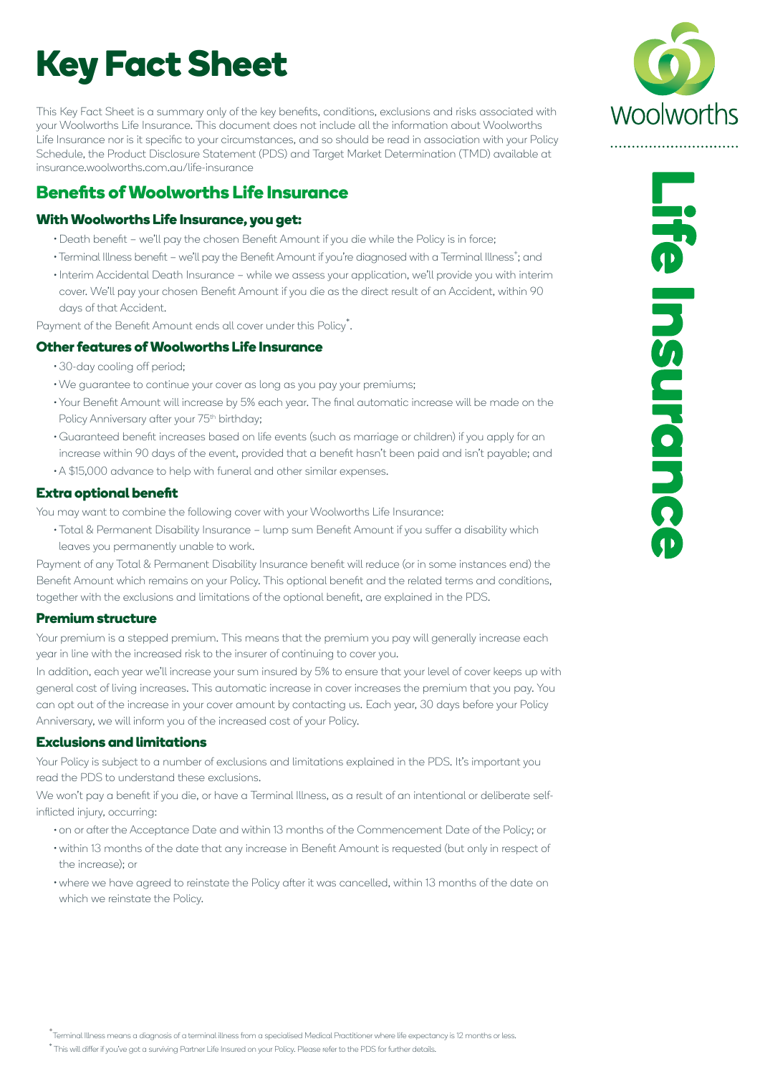# **Key Fact Sheet**

This Key Fact Sheet is a summary only of the key benefits, conditions, exclusions and risks associated with your Woolworths Life Insurance. This document does not include all the information about Woolworths Life Insurance nor is it specific to your circumstances, and so should be read in association with your Policy Schedule, the Product Disclosure Statement (PDS) and Target Market Determination (TMD) available at insurance.woolworths.com.au/life-insurance

## **Benefits of Woolworths Life Insurance**

#### **With Woolworths Life Insurance, you get:**

- Death benefit we'll pay the chosen Benefit Amount if you die while the Policy is in force;
- Terminal Illness benefit we'll pay the Benefit Amount if you're diagnosed with a Terminal Illness<sup>+</sup>; and
- Interim Accidental Death Insurance while we assess your application, we'll provide you with interim cover. We'll pay your chosen Benefit Amount if you die as the direct result of an Accident, within 90 days of that Accident.

Payment of the Benefit Amount ends all cover under this Policy\* .

#### **Other features of Woolworths Life Insurance**

- 30-day cooling off period;
- We guarantee to continue your cover as long as you pay your premiums;
- Your Benefit Amount will increase by 5% each year. The final automatic increase will be made on the Policy Anniversary after your 75<sup>th</sup> birthday;
- Guaranteed benefit increases based on life events (such as marriage or children) if you apply for an increase within 90 days of the event, provided that a benefit hasn't been paid and isn't payable; and A \$15,000 advance to help with funeral and other similar expenses.

#### **Extra optional benefit**

You may want to combine the following cover with your Woolworths Life Insurance:

Total & Permanent Disability Insurance – lump sum Benefit Amount if you suffer a disability which leaves you permanently unable to work.

Payment of any Total & Permanent Disability Insurance benefit will reduce (or in some instances end) the Benefit Amount which remains on your Policy. This optional benefit and the related terms and conditions, together with the exclusions and limitations of the optional benefit, are explained in the PDS.

#### **Premium structure**

Your premium is a stepped premium. This means that the premium you pay will generally increase each year in line with the increased risk to the insurer of continuing to cover you.

In addition, each year we'll increase your sum insured by 5% to ensure that your level of cover keeps up with general cost of living increases. This automatic increase in cover increases the premium that you pay. You can opt out of the increase in your cover amount by contacting us. Each year, 30 days before your Policy Anniversary, we will inform you of the increased cost of your Policy.

#### **Exclusions and limitations**

Your Policy is subject to a number of exclusions and limitations explained in the PDS. It's important you read the PDS to understand these exclusions.

We won't pay a benefit if you die, or have a Terminal Illness, as a result of an intentional or deliberate selfinflicted injury, occurring:

- on or after the Acceptance Date and within 13 months of the Commencement Date of the Policy; or
- within 13 months of the date that any increase in Benefit Amount is requested (but only in respect of the increase); or
- where we have agreed to reinstate the Policy after it was cancelled, within 13 months of the date on which we reinstate the Policy.



+ Terminal Illness means a diagnosis of a terminal illness from a specialised Medical Practitioner where life expectancy is 12 months or less.

\* This will differ if you've got a surviving Partner Life Insured on your Policy. Please refer to the PDS for further details.